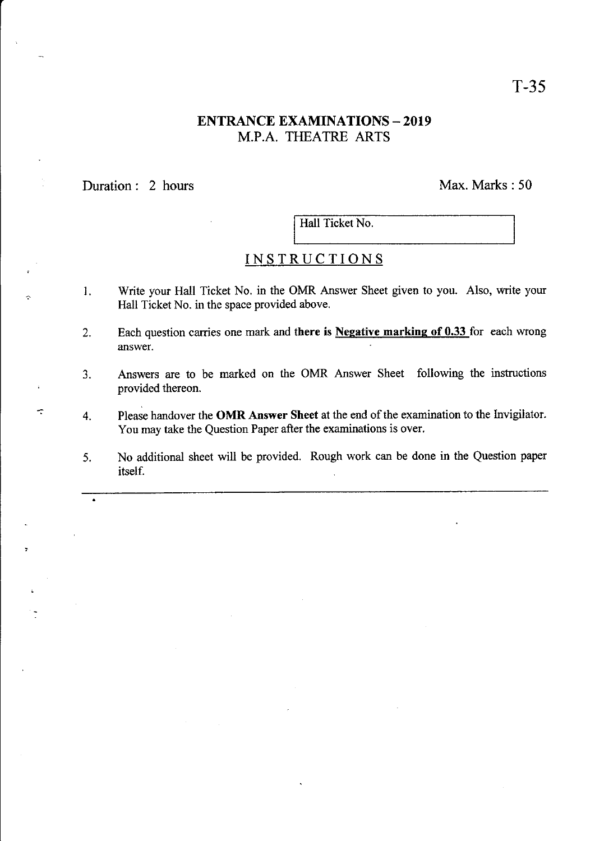## **ENTRANCE EXAMINATIONS - 2019** M.P.A. THEATRE ARTS

Duration: 2 hours Max. Marks: 50

Hall Ticket No.

## INSTRUCTIONS

- 1. Write your Hall Ticket No. in the OMR Answer Sheet given to you. Also, write your Hall Ticket No. in the space provided above.
- 2. Each question carries one mark and there is Negative marking of  $0.33$  for each wrong answer.
- 3. Answers are to be marked on the OMR Answer Sheet following the instructions provided thereon.
- $\tau$  4. Please handover the OMR Answer Sheet at the end of the examination to the Invigilator. You may take the Question Paper after the examinations is over.
	- 5. No additional sheet will be provided. Rough work can be done in the Question paper itself.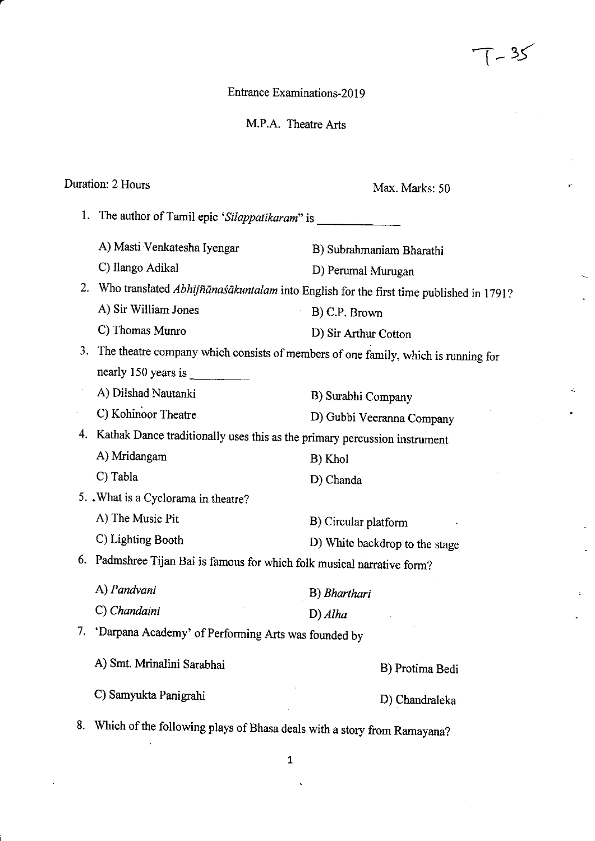Entrance Examinations-2019

M.P.A. Theatre Arts

#### Duration: 2 Hours

Max. Marks: 50

 $T - 35$ 

1. The author of Tamil epic 'Silappatikaram' is A) Masti Venkatesha Iyengar C) Ilango Adikal A) Sir William Jones C) Thomas Munro A) Dilshad Nautanki C) Kohinoor Theatre A) Mridangam C) Tabla 5. .What is a Cyclorama in theatre? A) The Music Pit C) Lighting Booth A) Pandvani C) Chandaini B) Subrahmaniam Bharathi D) Perumal Murugan B) C.P. Brown D) Sir Arthur Cotton B) Surabhi Company D) Gubbi Veeranna Company B) Khol D) Chanda B) Circular platform D) White backdrop to the stage B) Bharthari D) Alha 2. Who translated Abhijñānaśākuntalam into English for the first time published in 1791? 3. The theatre company which consists of members of one family, which is running for nearly 150 years is 4. Kathak Dance traditionally uses this as the primary percussion instrument 6. Padmshree Tijan Bai is famous for which folk musical narrative form? 7. 'Darpana Academy' of performing Arts was founded bv A) Smt. Mrinalini Sarabhai B) Protima Bedi C) Samyukta Panigrahi D) Chandraleka 8. Which of the following plays of Bhasa deals with a story from Ramayana?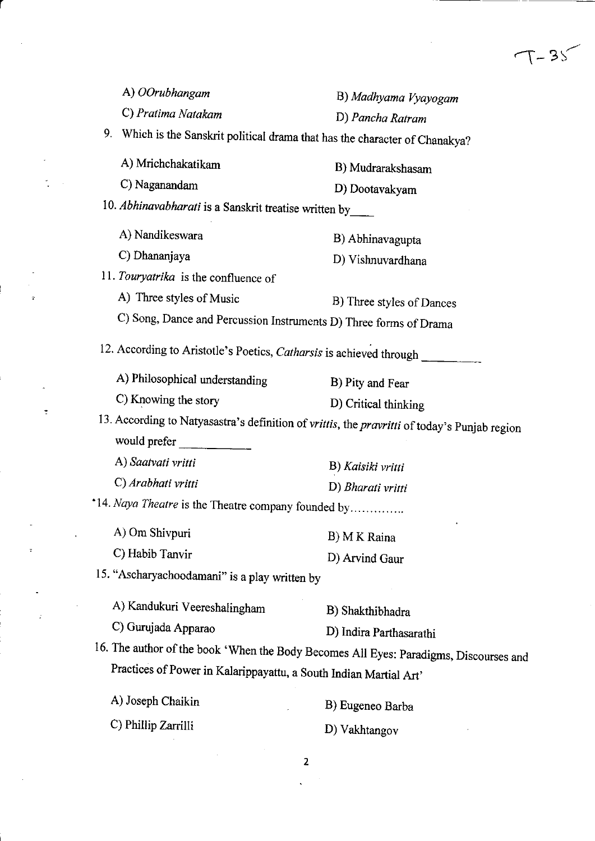| A) OOrubhangam                                                                    | B) Madhyama Vyayogam                                                                         |
|-----------------------------------------------------------------------------------|----------------------------------------------------------------------------------------------|
| C) Pratima Natakam                                                                | D) Pancha Ratram                                                                             |
| 9.<br>Which is the Sanskrit political drama that has the character of Chanakya?   |                                                                                              |
| A) Mrichchakatikam                                                                | B) Mudrarakshasam                                                                            |
| C) Naganandam                                                                     | D) Dootavakyam                                                                               |
| 10. Abhinavabharati is a Sanskrit treatise written by_____                        |                                                                                              |
| A) Nandikeswara                                                                   | B) Abhinavagupta                                                                             |
| C) Dhananjaya                                                                     | D) Vishnuvardhana                                                                            |
| 11. Touryatrika is the confluence of                                              |                                                                                              |
| A) Three styles of Music                                                          | B) Three styles of Dances                                                                    |
| C) Song, Dance and Percussion Instruments D) Three forms of Drama                 |                                                                                              |
| 12. According to Aristotle's Poetics, Catharsis is achieved through _____________ |                                                                                              |
| A) Philosophical understanding                                                    | B) Pity and Fear                                                                             |
| C) Knowing the story                                                              | D) Critical thinking                                                                         |
|                                                                                   | 13. According to Natyasastra's definition of vrittis, the pravritti of today's Punjab region |
| would prefer                                                                      |                                                                                              |
| A) Saatvati vritti                                                                | B) Kaisiki vritti                                                                            |
| C) Arabhati vritti                                                                | D) Bharati vritti                                                                            |
| *14. Naya Theatre is the Theatre company founded by                               |                                                                                              |
| A) Om Shivpuri                                                                    | B) M K Raina                                                                                 |
| C) Habib Tanvir                                                                   | D) Arvind Gaur                                                                               |
| 15. "Ascharyachoodamani" is a play written by                                     |                                                                                              |
| A) Kandukuri Veereshalingham                                                      | B) Shakthibhadra                                                                             |
| C) Gurujada Apparao                                                               | D) Indira Parthasarathi                                                                      |
|                                                                                   | 16. The author of the book 'When the Body Becomes All Eyes: Paradigms, Discourses and        |
| Practices of Power in Kalarippayattu, a South Indian Martial Art'                 |                                                                                              |
| A) Joseph Chaikin                                                                 | B) Eugeneo Barba                                                                             |
| C) Phillip Zarrilli                                                               | D) Vakhtangov                                                                                |
|                                                                                   | 2                                                                                            |
|                                                                                   |                                                                                              |

 $\sigma_{\rm{eff}}$ 

 $\frac{1}{2} \left( \frac{1}{2} \right)$ 

 $\omega_{\rm{eff}}$ 

 $\pm$ 

 $\ddot{\phantom{0}}$ 

 $\tau$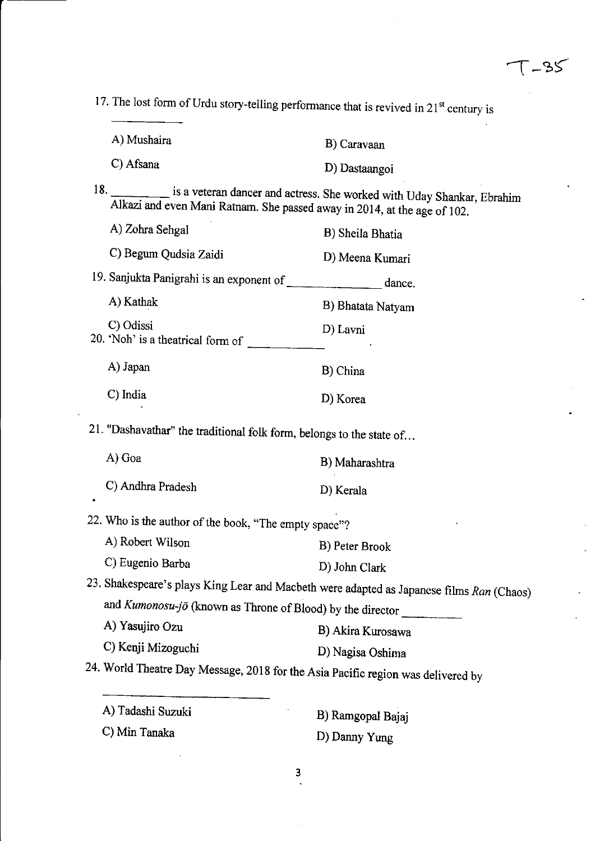$T-35$ 

17. The lost form of Urdu story-telling performance that is revived in  $21<sup>st</sup>$  century is

| A) Mushaira | B) Caravaan   |
|-------------|---------------|
| C) Afsana   | D) Dastaangoi |

18' is a veteran dancer and actress. She worked with Uday Shankar, Ebrahim Alkazi and even Mani Ratnam. She passed away in 2014, at the age of 102.

| A) Zohra Sehgal                                | B) Sheila Bhatia  |
|------------------------------------------------|-------------------|
| C) Begum Qudsia Zaidi                          | D) Meena Kumari   |
| 19. Sanjukta Panigrahi is an exponent of       | dance.            |
| A) Kathak                                      | B) Bhatata Natyam |
| C) Odissi<br>20. 'Noh' is a theatrical form of | D) Lavni<br>z     |
| A) Japan                                       | B) China          |
| C) India                                       | D) Korea          |
|                                                |                   |

21. "Dashavathar" the traditional folk form, belongs to the state of...

| A) Goa            | B) Maharashtra |
|-------------------|----------------|
| C) Andhra Pradesh | D) Kerala      |

22. Who is the author of the book, "The empty space"?

B) Peter Brook A) Robert Wilson

D) John Clark C) Eugenio Barba

23. Shakespeare's plays King Lear and Macbeth were adapted as Japanese films Ran (Chaos) and  $Kumonosu-j\ddot{o}$  (known as Throne of Blood) by the director

A) Yasujiro Ozu C) Kenji Mizoguchi B) Akira Kurosawa D) Nagisa Oshima

24. World Theatre Day Message, 2018 for the Asia Pacific region was delivered by

 $\overline{\mathbf{3}}$ 

| A) Tadashi Suzuki | B) Ramgopal Bajaj |
|-------------------|-------------------|
| C) Min Tanaka     | D) Danny Yung     |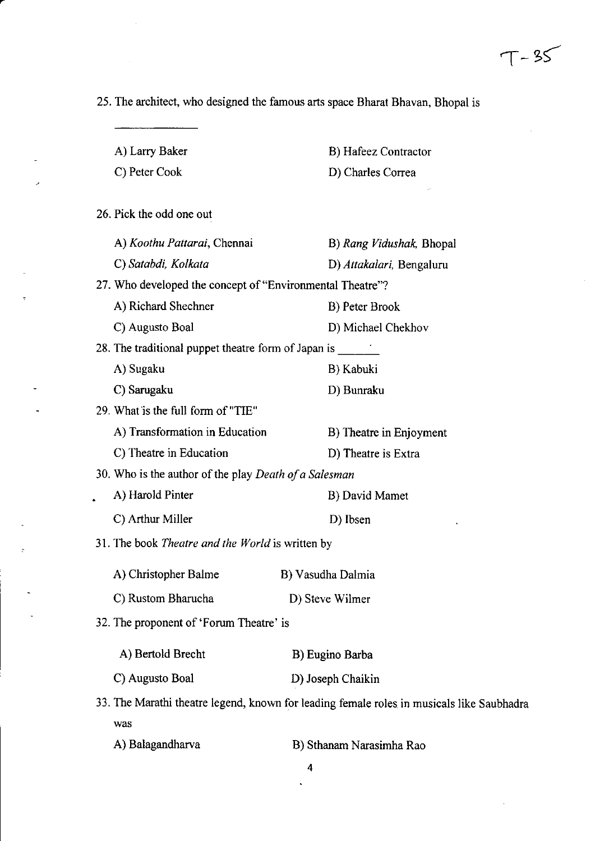$\bar{z}$ 

25. The architect, who designed the famous arts space Bharat Bhavan, Bhopal is

 $\mathcal{L}$ 

 $\overline{a}$ 

| A) Larry Baker                                                                            |                          | B) Hafeez Contractor     |
|-------------------------------------------------------------------------------------------|--------------------------|--------------------------|
| C) Peter Cook                                                                             | D) Charles Correa        |                          |
|                                                                                           |                          |                          |
| 26. Pick the odd one out                                                                  |                          |                          |
| A) Koothu Pattarai, Chennai                                                               |                          | B) Rang Vidushak, Bhopal |
| C) Satabdi, Kolkata                                                                       |                          | D) Attakalari, Bengaluru |
| 27. Who developed the concept of "Environmental Theatre"?                                 |                          |                          |
| A) Richard Shechner                                                                       | B) Peter Brook           |                          |
| C) Augusto Boal                                                                           | D) Michael Chekhov       |                          |
| 28. The traditional puppet theatre form of Japan is                                       |                          |                          |
| A) Sugaku                                                                                 | B) Kabuki                |                          |
| C) Sarugaku                                                                               | D) Bunraku               |                          |
| 29. What is the full form of "TIE"                                                        |                          |                          |
| A) Transformation in Education                                                            |                          | B) Theatre in Enjoyment  |
| C) Theatre in Education                                                                   | D) Theatre is Extra      |                          |
| 30. Who is the author of the play Death of a Salesman                                     |                          |                          |
| A) Harold Pinter                                                                          | B) David Mamet           |                          |
| C) Arthur Miller                                                                          | D) Ibsen                 |                          |
| 31. The book Theatre and the World is written by                                          |                          |                          |
| A) Christopher Balme                                                                      | B) Vasudha Dalmia        |                          |
| C) Rustom Bharucha                                                                        | D) Steve Wilmer          |                          |
| 32. The proponent of 'Forum Theatre' is                                                   |                          |                          |
| A) Bertold Brecht                                                                         | B) Eugino Barba          |                          |
|                                                                                           |                          |                          |
| C) Augusto Boal                                                                           | D) Joseph Chaikin        |                          |
| 33. The Marathi theatre legend, known for leading female roles in musicals like Saubhadra |                          |                          |
| was                                                                                       |                          |                          |
| A) Balagandharva                                                                          | B) Sthanam Narasimha Rao |                          |

4

 $\ddot{\phantom{0}}$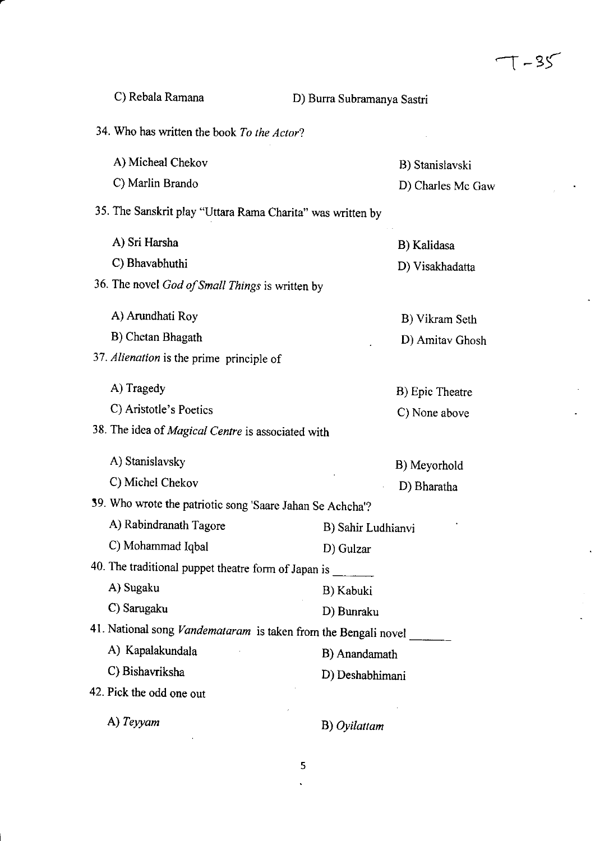$\sim$ 

 $\ddot{\phantom{0}}$ 

 $\hat{\mathcal{A}}$ 

 $\mathbf{r}$ 

 $\ddot{\phantom{a}}$ 

 $\epsilon$  $\mathcal{L}_{\mathcal{A}}$  $\mathbb{R}^2$ 

 $\mathcal{L}$ 

| C) Rebala Ramana                                           | D) Burra Subramanya Sastri                                            |  |  |
|------------------------------------------------------------|-----------------------------------------------------------------------|--|--|
| 34. Who has written the book To the Actor?                 |                                                                       |  |  |
| A) Micheal Chekov                                          | B) Stanislavski                                                       |  |  |
| C) Marlin Brando                                           | D) Charles Mc Gaw                                                     |  |  |
| 35. The Sanskrit play "Uttara Rama Charita" was written by |                                                                       |  |  |
| A) Sri Harsha                                              | B) Kalidasa                                                           |  |  |
| C) Bhavabhuthi                                             | D) Visakhadatta                                                       |  |  |
| 36. The novel God of Small Things is written by            |                                                                       |  |  |
| A) Arundhati Roy                                           | B) Vikram Seth                                                        |  |  |
| B) Chetan Bhagath                                          | D) Amitav Ghosh                                                       |  |  |
| 37. Alienation is the prime principle of                   |                                                                       |  |  |
| A) Tragedy                                                 | B) Epic Theatre                                                       |  |  |
| C) Aristotle's Poetics                                     | C) None above                                                         |  |  |
| 38. The idea of Magical Centre is associated with          |                                                                       |  |  |
| A) Stanislavsky                                            | B) Meyorhold                                                          |  |  |
| C) Michel Chekov                                           | D) Bharatha                                                           |  |  |
| 39. Who wrote the patriotic song 'Saare Jahan Se Achcha'?  |                                                                       |  |  |
| A) Rabindranath Tagore                                     | B) Sahir Ludhianvi                                                    |  |  |
| C) Mohammad Iqbal                                          | D) Gulzar                                                             |  |  |
| 40. The traditional puppet theatre form of Japan is        |                                                                       |  |  |
| A) Sugaku                                                  | B) Kabuki                                                             |  |  |
| C) Sarugaku                                                | D) Bunraku                                                            |  |  |
|                                                            | 41. National song <i>Vandemataram</i> is taken from the Bengali novel |  |  |
| A) Kapalakundala                                           | B) Anandamath                                                         |  |  |
| C) Bishavriksha                                            | D) Deshabhimani                                                       |  |  |
| 42. Pick the odd one out                                   |                                                                       |  |  |
| A) Teyyam                                                  | B) Oyilattam                                                          |  |  |

 $\overline{\mathbf{5}}$  $\ddot{\phantom{a}}$ 

 $\bar{z}$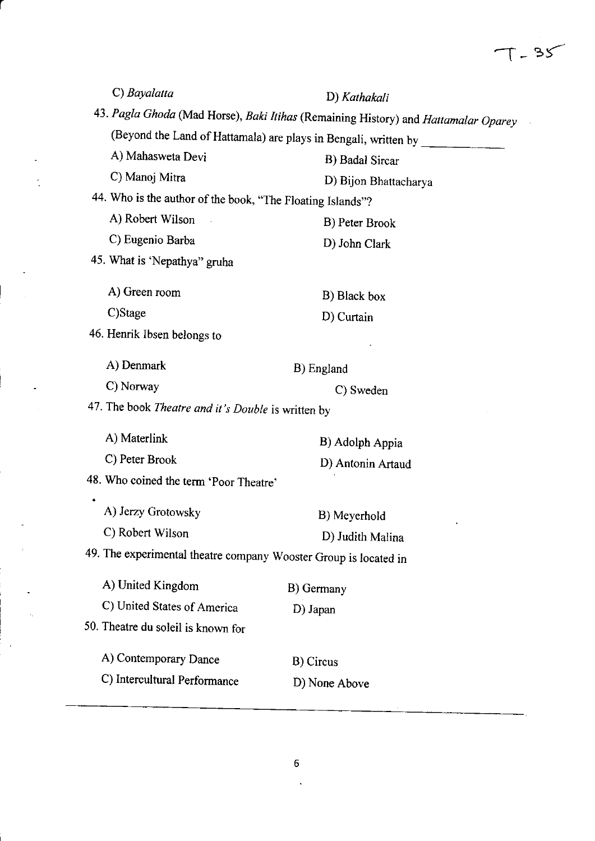| C) Bayalatta                                                     | D) Kathakali                                                                       |  |  |  |  |
|------------------------------------------------------------------|------------------------------------------------------------------------------------|--|--|--|--|
|                                                                  | 43. Pagla Ghoda (Mad Horse), Baki Itihas (Remaining History) and Hattamalar Oparey |  |  |  |  |
|                                                                  | (Beyond the Land of Hattamala) are plays in Bengali, written by _____              |  |  |  |  |
| A) Mahasweta Devi                                                | B) Badal Sircar                                                                    |  |  |  |  |
| C) Manoj Mitra                                                   | D) Bijon Bhattacharya                                                              |  |  |  |  |
| 44. Who is the author of the book, "The Floating Islands"?       |                                                                                    |  |  |  |  |
| A) Robert Wilson                                                 | B) Peter Brook                                                                     |  |  |  |  |
| C) Eugenio Barba                                                 | D) John Clark                                                                      |  |  |  |  |
| 45. What is 'Nepathya" gruha                                     |                                                                                    |  |  |  |  |
| A) Green room                                                    | B) Black box                                                                       |  |  |  |  |
| C)Stage                                                          | D) Curtain                                                                         |  |  |  |  |
| 46. Henrik Ibsen belongs to                                      |                                                                                    |  |  |  |  |
| A) Denmark                                                       | B) England                                                                         |  |  |  |  |
| C) Norway                                                        | C) Sweden                                                                          |  |  |  |  |
| 47. The book <i>Theatre and it's Double</i> is written by        |                                                                                    |  |  |  |  |
| A) Materlink                                                     | B) Adolph Appia                                                                    |  |  |  |  |
| C) Peter Brook                                                   | D) Antonin Artaud                                                                  |  |  |  |  |
| 48. Who coined the term 'Poor Theatre'                           |                                                                                    |  |  |  |  |
| A) Jerzy Grotowsky                                               | B) Meyerhold                                                                       |  |  |  |  |
| C) Robert Wilson                                                 | D) Judith Malina                                                                   |  |  |  |  |
| 49. The experimental theatre company Wooster Group is located in |                                                                                    |  |  |  |  |
| A) United Kingdom                                                |                                                                                    |  |  |  |  |
|                                                                  | B) Germany                                                                         |  |  |  |  |
| C) United States of America                                      | D) Japan                                                                           |  |  |  |  |
| 50. Theatre du soleil is known for                               |                                                                                    |  |  |  |  |
| A) Contemporary Dance                                            | B) Circus                                                                          |  |  |  |  |
| C) Intercultural Performance                                     | D) None Above                                                                      |  |  |  |  |
|                                                                  |                                                                                    |  |  |  |  |

l,